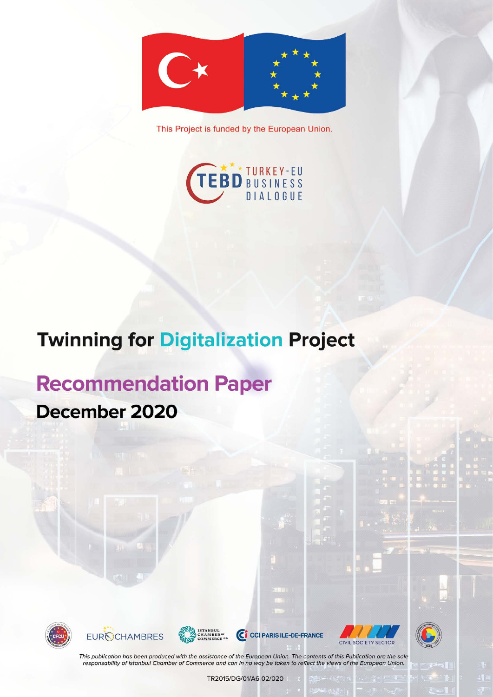

This Project is funded by the European Union.



# **Twinning for Digitalization Project**

# **Recommendation Paper** December 2020







C CCI PARIS ILE-DE-FRANCE





This publication has been produced with the assistance of the European Union. The contents of this Publication are the sole responsability of Istanbuil Chamber of Commerce and can in no way be taken to reflect the views of the European Union.

TR2015/DG/01/A6-02/020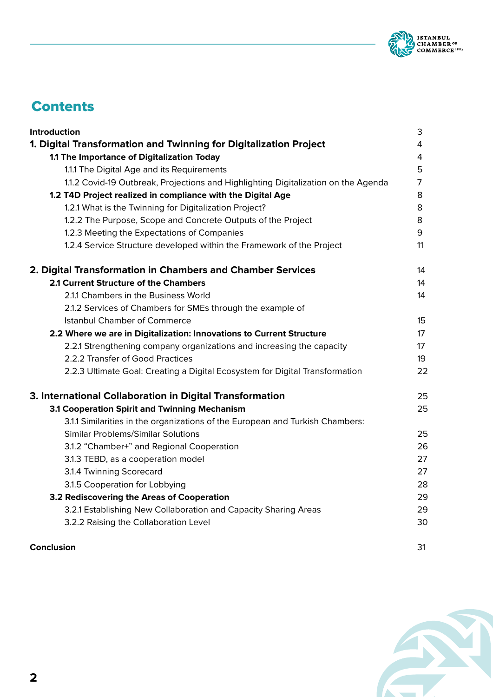

# **Contents**

| Introduction                                                                       | 3              |
|------------------------------------------------------------------------------------|----------------|
| 1. Digital Transformation and Twinning for Digitalization Project                  | $\overline{4}$ |
| 1.1 The Importance of Digitalization Today                                         | $\overline{4}$ |
| 1.1.1 The Digital Age and its Requirements                                         | 5              |
| 1.1.2 Covid-19 Outbreak, Projections and Highlighting Digitalization on the Agenda | $\overline{7}$ |
| 1.2 T4D Project realized in compliance with the Digital Age                        | 8              |
| 1.2.1 What is the Twinning for Digitalization Project?                             | 8              |
| 1.2.2 The Purpose, Scope and Concrete Outputs of the Project                       | 8              |
| 1.2.3 Meeting the Expectations of Companies                                        | 9              |
| 1.2.4 Service Structure developed within the Framework of the Project              | 11             |
| 2. Digital Transformation in Chambers and Chamber Services                         | 14             |
| 2.1 Current Structure of the Chambers                                              | 14             |
| 2.1.1 Chambers in the Business World                                               | 14             |
| 2.1.2 Services of Chambers for SMEs through the example of                         |                |
| <b>Istanbul Chamber of Commerce</b>                                                | 15             |
| 2.2 Where we are in Digitalization: Innovations to Current Structure               | 17             |
| 2.2.1 Strengthening company organizations and increasing the capacity              | 17             |
| 2.2.2 Transfer of Good Practices                                                   | 19             |
| 2.2.3 Ultimate Goal: Creating a Digital Ecosystem for Digital Transformation       | 22             |
| 3. International Collaboration in Digital Transformation                           | 25             |
| 3.1 Cooperation Spirit and Twinning Mechanism                                      | 25             |
| 3.1.1 Similarities in the organizations of the European and Turkish Chambers:      |                |
| Similar Problems/Similar Solutions                                                 | 25             |
| 3.1.2 "Chamber+" and Regional Cooperation                                          | 26             |
| 3.1.3 TEBD, as a cooperation model                                                 | 27             |
| 3.1.4 Twinning Scorecard                                                           | 27             |
| 3.1.5 Cooperation for Lobbying                                                     | 28             |
| 3.2 Rediscovering the Areas of Cooperation                                         | 29             |
| 3.2.1 Establishing New Collaboration and Capacity Sharing Areas                    | 29             |
| 3.2.2 Raising the Collaboration Level                                              | 30             |
|                                                                                    |                |

## **Conclusion** 31

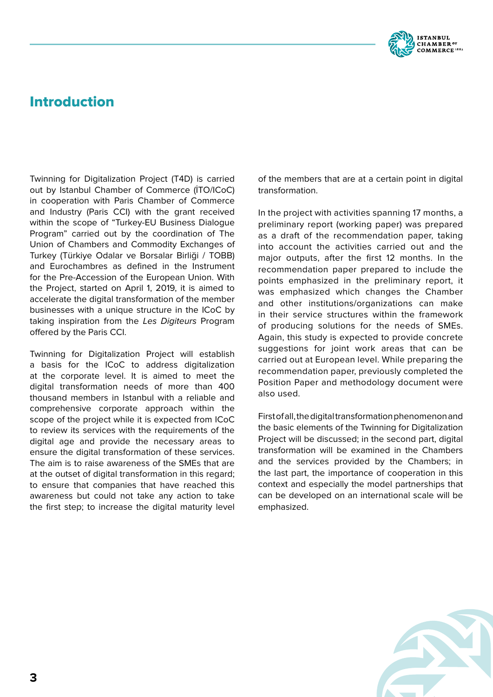

# Introduction

Twinning for Digitalization Project (T4D) is carried out by Istanbul Chamber of Commerce (İTO/ICoC) in cooperation with Paris Chamber of Commerce and Industry (Paris CCI) with the grant received within the scope of "Turkey-EU Business Dialogue Program" carried out by the coordination of The Union of Chambers and Commodity Exchanges of Turkey (Türkiye Odalar ve Borsalar Birliği / TOBB) and Eurochambres as defined in the Instrument for the Pre-Accession of the European Union. With the Project, started on April 1, 2019, it is aimed to accelerate the digital transformation of the member businesses with a unique structure in the ICoC by taking inspiration from the *Les Digiteurs* Program offered by the Paris CCI.

Twinning for Digitalization Project will establish a basis for the ICoC to address digitalization at the corporate level. It is aimed to meet the digital transformation needs of more than 400 thousand members in Istanbul with a reliable and comprehensive corporate approach within the scope of the project while it is expected from ICoC to review its services with the requirements of the digital age and provide the necessary areas to ensure the digital transformation of these services. The aim is to raise awareness of the SMEs that are at the outset of digital transformation in this regard; to ensure that companies that have reached this awareness but could not take any action to take the first step; to increase the digital maturity level of the members that are at a certain point in digital transformation.

In the project with activities spanning 17 months, a preliminary report (working paper) was prepared as a draft of the recommendation paper, taking into account the activities carried out and the major outputs, after the first 12 months. In the recommendation paper prepared to include the points emphasized in the preliminary report, it was emphasized which changes the Chamber and other institutions/organizations can make in their service structures within the framework of producing solutions for the needs of SMEs. Again, this study is expected to provide concrete suggestions for joint work areas that can be carried out at European level. While preparing the recommendation paper, previously completed the Position Paper and methodology document were also used.

First of all, the digital transformation phenomenon and the basic elements of the Twinning for Digitalization Project will be discussed; in the second part, digital transformation will be examined in the Chambers and the services provided by the Chambers; in the last part, the importance of cooperation in this context and especially the model partnerships that can be developed on an international scale will be emphasized.

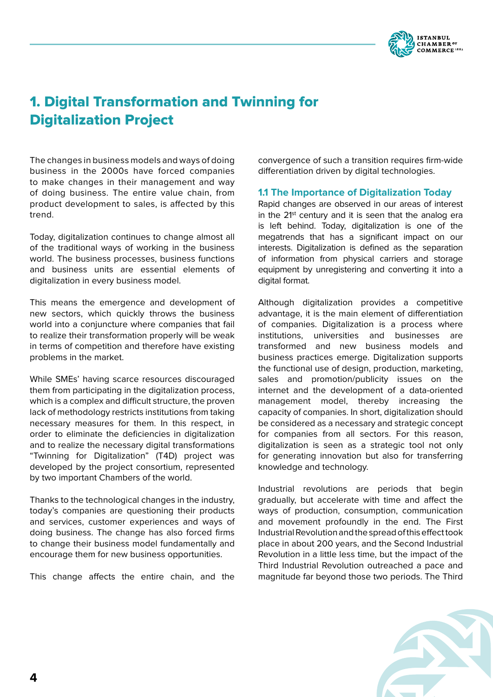

# 1. Digital Transformation and Twinning for Digitalization Project

The changes in business models and ways of doing business in the 2000s have forced companies to make changes in their management and way of doing business. The entire value chain, from product development to sales, is affected by this trend.

Today, digitalization continues to change almost all of the traditional ways of working in the business world. The business processes, business functions and business units are essential elements of digitalization in every business model.

This means the emergence and development of new sectors, which quickly throws the business world into a conjuncture where companies that fail to realize their transformation properly will be weak in terms of competition and therefore have existing problems in the market.

While SMEs' having scarce resources discouraged them from participating in the digitalization process, which is a complex and difficult structure, the proven lack of methodology restricts institutions from taking necessary measures for them. In this respect, in order to eliminate the deficiencies in digitalization and to realize the necessary digital transformations "Twinning for Digitalization" (T4D) project was developed by the project consortium, represented by two important Chambers of the world.

Thanks to the technological changes in the industry, today's companies are questioning their products and services, customer experiences and ways of doing business. The change has also forced firms to change their business model fundamentally and encourage them for new business opportunities.

This change affects the entire chain, and the

convergence of such a transition requires firm-wide differentiation driven by digital technologies.

## **1.1 The Importance of Digitalization Today**

Rapid changes are observed in our areas of interest in the  $21st$  century and it is seen that the analog era is left behind. Today, digitalization is one of the megatrends that has a significant impact on our interests. Digitalization is defined as the separation of information from physical carriers and storage equipment by unregistering and converting it into a digital format.

Although digitalization provides a competitive advantage, it is the main element of differentiation of companies. Digitalization is a process where institutions, universities and businesses are transformed and new business models and business practices emerge. Digitalization supports the functional use of design, production, marketing, sales and promotion/publicity issues on the internet and the development of a data-oriented management model, thereby increasing the capacity of companies. In short, digitalization should be considered as a necessary and strategic concept for companies from all sectors. For this reason, digitalization is seen as a strategic tool not only for generating innovation but also for transferring knowledge and technology.

Industrial revolutions are periods that begin gradually, but accelerate with time and affect the ways of production, consumption, communication and movement profoundly in the end. The First Industrial Revolution and the spread of this effect took place in about 200 years, and the Second Industrial Revolution in a little less time, but the impact of the Third Industrial Revolution outreached a pace and magnitude far beyond those two periods. The Third

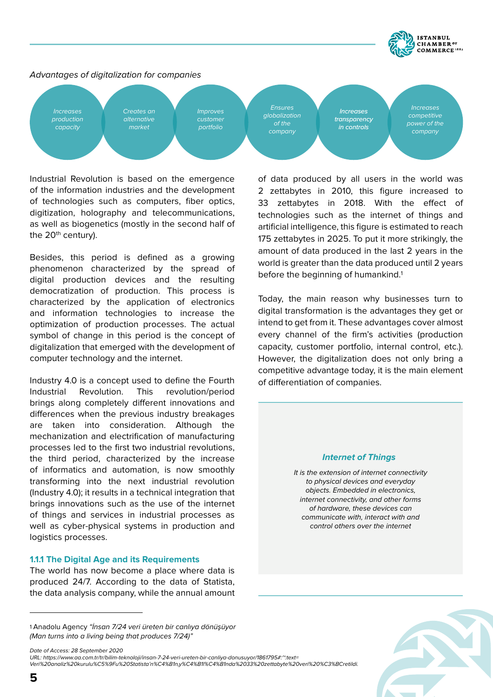

## *Advantages of digitalization for companies*



Industrial Revolution is based on the emergence of the information industries and the development of technologies such as computers, fiber optics, digitization, holography and telecommunications, as well as biogenetics (mostly in the second half of the 20<sup>th</sup> century).

Besides, this period is defined as a growing phenomenon characterized by the spread of digital production devices and the resulting democratization of production. This process is characterized by the application of electronics and information technologies to increase the optimization of production processes. The actual symbol of change in this period is the concept of digitalization that emerged with the development of computer technology and the internet.

Industry 4.0 is a concept used to define the Fourth Industrial Revolution. This revolution/period brings along completely different innovations and differences when the previous industry breakages are taken into consideration. Although the mechanization and electrification of manufacturing processes led to the first two industrial revolutions, the third period, characterized by the increase of informatics and automation, is now smoothly transforming into the next industrial revolution (Industry 4.0); it results in a technical integration that brings innovations such as the use of the internet of things and services in industrial processes as well as cyber-physical systems in production and logistics processes.

## **1.1.1 The Digital Age and its Requirements**

The world has now become a place where data is produced 24/7. According to the data of Statista, the data analysis company, while the annual amount

*Date of Access: 28 September 2020* 

*URL: https://www.aa.com.tr/tr/bilim-teknoloji/insan-7-24-veri-ureten-bir-canliya-donusuyor/1861795#:~:text=*

of data produced by all users in the world was 2 zettabytes in 2010, this figure increased to 33 zettabytes in 2018. With the effect of technologies such as the internet of things and artificial intelligence, this figure is estimated to reach 175 zettabytes in 2025. To put it more strikingly, the amount of data produced in the last 2 years in the world is greater than the data produced until 2 years before the beginning of humankind.<sup>1</sup>

Today, the main reason why businesses turn to digital transformation is the advantages they get or intend to get from it. These advantages cover almost every channel of the firm's activities (production capacity, customer portfolio, internal control, etc.). However, the digitalization does not only bring a competitive advantage today, it is the main element of differentiation of companies.

#### **Internet of Things**

*It is the extension of internet connectivity to physical devices and everyday objects. Embedded in electronics, internet connectivity, and other forms of hardware, these devices can communicate with, interact with and control others over the internet*

<sup>1</sup> Anadolu Agency *"İnsan 7/24 veri üreten bir canlıya dönüşüyor (Man turns into a living being that produces 7/24)"*

*Veri%20analiz%20kurulu%C5%9Fu%20Statista'n%C4%B1n,y%C4%B1l%C4%B1nda%2033%20zettabyte%20veri%20%C3%BCretildi.*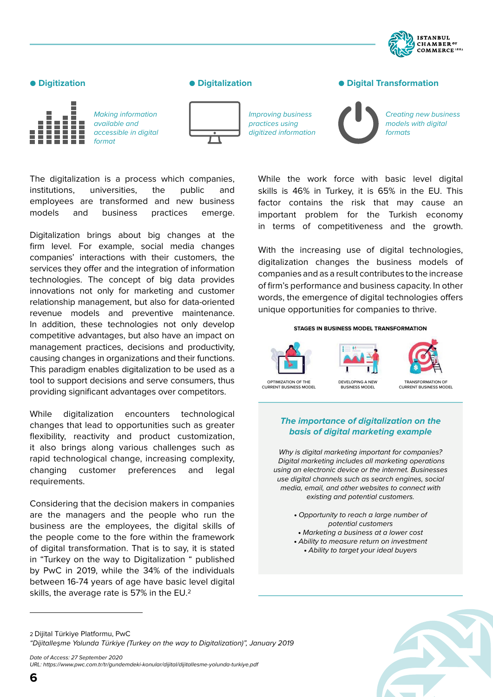

## ● Digitization ● **Digital Digital Transformation**



*Making information available and accessible in digital format*

The digitalization is a process which companies, institutions, universities, the public and employees are transformed and new business models and business practices emerge.

Digitalization brings about big changes at the firm level. For example, social media changes companies' interactions with their customers, the services they offer and the integration of information technologies. The concept of big data provides innovations not only for marketing and customer relationship management, but also for data-oriented revenue models and preventive maintenance. In addition, these technologies not only develop competitive advantages, but also have an impact on management practices, decisions and productivity, causing changes in organizations and their functions. This paradigm enables digitalization to be used as a tool to support decisions and serve consumers, thus providing significant advantages over competitors.



*Improving business practices using digitized information*

*Creating new business models with digital formats*

While the work force with basic level digital skills is 46% in Turkey, it is 65% in the EU. This factor contains the risk that may cause an important problem for the Turkish economy in terms of competitiveness and the growth.

With the increasing use of digital technologies, digitalization changes the business models of companies and as a result contributes to the increase of firm's performance and business capacity. In other words, the emergence of digital technologies offers unique opportunities for companies to thrive.

#### **STAGES IN BUSINESS MODEL TRANSFORMATION**





## **The importance of digitalization on the basis of digital marketing example**

*Why is digital marketing important for companies? Digital marketing includes all marketing operations using an electronic device or the internet. Businesses use digital channels such as search engines, social media, email, and other websites to connect with existing and potential customers.*

- • *Opportunity to reach a large number of potential customers*
- • *Marketing a business at a lower cost* • *Ability to measure return on investment*
	- • *Ability to target your ideal buyers*

are the managers and the people who run the business are the employees, the digital skills of the people come to the fore within the framework of digital transformation. That is to say, it is stated in "Turkey on the way to Digitalization " published by PwC in 2019, while the 34% of the individuals between 16-74 years of age have basic level digital skills, the average rate is 57% in the EU.2

Considering that the decision makers in companies

While digitalization encounters technological changes that lead to opportunities such as greater flexibility, reactivity and product customization, it also brings along various challenges such as rapid technological change, increasing complexity, changing customer preferences and legal

requirements.

*Date of Access: 27 September 2020 URL: https://www.pwc.com.tr/tr/gundemdeki-konular/dijital/dijitallesme-yolunda-turkiye.pdf*



<sup>2</sup> Dijital Türkiye Platformu, PwC

*<sup>&</sup>quot;Dijitalleşme Yolunda Türkiye (Turkey on the way to Digitalization)", January 2019*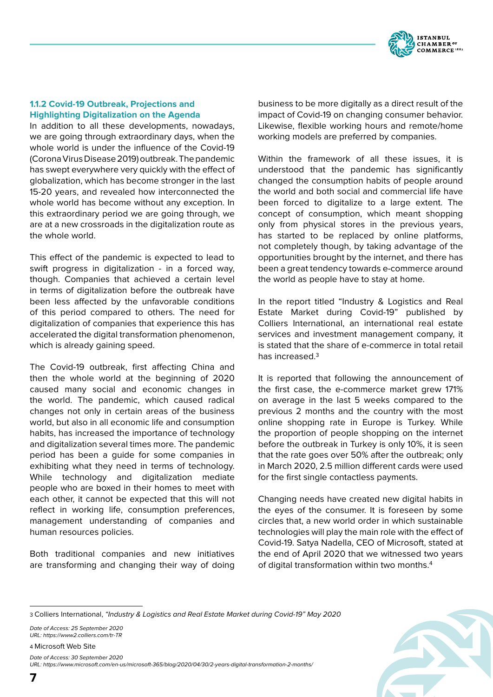

## **1.1.2 Covid-19 Outbreak, Projections and Highlighting Digitalization on the Agenda**

In addition to all these developments, nowadays, we are going through extraordinary days, when the whole world is under the influence of the Covid-19 (Corona Virus Disease 2019) outbreak. The pandemic has swept everywhere very quickly with the effect of globalization, which has become stronger in the last 15-20 years, and revealed how interconnected the whole world has become without any exception. In this extraordinary period we are going through, we are at a new crossroads in the digitalization route as the whole world.

This effect of the pandemic is expected to lead to swift progress in digitalization - in a forced way, though. Companies that achieved a certain level in terms of digitalization before the outbreak have been less affected by the unfavorable conditions of this period compared to others. The need for digitalization of companies that experience this has accelerated the digital transformation phenomenon, which is already gaining speed.

The Covid-19 outbreak, first affecting China and then the whole world at the beginning of 2020 caused many social and economic changes in the world. The pandemic, which caused radical changes not only in certain areas of the business world, but also in all economic life and consumption habits, has increased the importance of technology and digitalization several times more. The pandemic period has been a guide for some companies in exhibiting what they need in terms of technology. While technology and digitalization mediate people who are boxed in their homes to meet with each other, it cannot be expected that this will not reflect in working life, consumption preferences, management understanding of companies and human resources policies.

Both traditional companies and new initiatives are transforming and changing their way of doing business to be more digitally as a direct result of the impact of Covid-19 on changing consumer behavior. Likewise, flexible working hours and remote/home working models are preferred by companies.

Within the framework of all these issues, it is understood that the pandemic has significantly changed the consumption habits of people around the world and both social and commercial life have been forced to digitalize to a large extent. The concept of consumption, which meant shopping only from physical stores in the previous years, has started to be replaced by online platforms, not completely though, by taking advantage of the opportunities brought by the internet, and there has been a great tendency towards e-commerce around the world as people have to stay at home.

In the report titled "Industry & Logistics and Real Estate Market during Covid-19" published by Colliers International, an international real estate services and investment management company, it is stated that the share of e-commerce in total retail has increased.3

It is reported that following the announcement of the first case, the e-commerce market grew 171% on average in the last 5 weeks compared to the previous 2 months and the country with the most online shopping rate in Europe is Turkey. While the proportion of people shopping on the internet before the outbreak in Turkey is only 10%, it is seen that the rate goes over 50% after the outbreak; only in March 2020, 2.5 million different cards were used for the first single contactless payments.

Changing needs have created new digital habits in the eyes of the consumer. It is foreseen by some circles that, a new world order in which sustainable technologies will play the main role with the effect of Covid-19. Satya Nadella, CEO of Microsoft, stated at the end of April 2020 that we witnessed two years of digital transformation within two months.4

*Date of Access: 25 September 2020 URL: https://www2.colliers.com/tr-TR*

4 Microsoft Web Site

*Date of Access: 30 September 2020* 

*URL: https://www.microsoft.com/en-us/microsoft-365/blog/2020/04/30/2-years-digital-transformation-2-months/*

<sup>3</sup> Colliers International, *"Industry & Logistics and Real Estate Market during Covid-19" May 2020*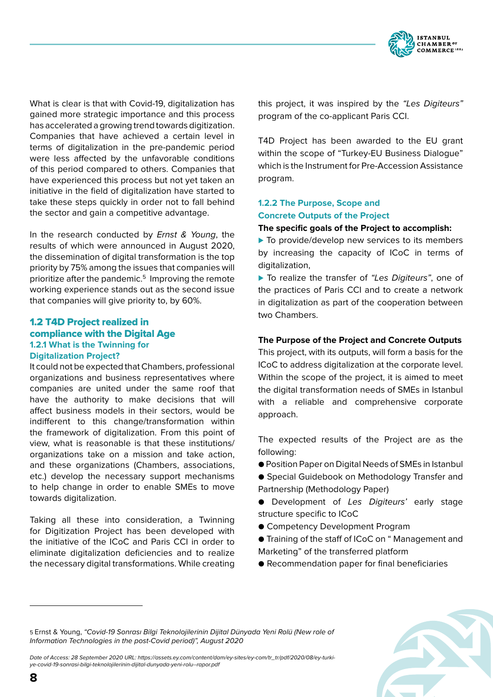

What is clear is that with Covid-19, digitalization has gained more strategic importance and this process has accelerated a growing trend towards digitization. Companies that have achieved a certain level in terms of digitalization in the pre-pandemic period were less affected by the unfavorable conditions of this period compared to others. Companies that have experienced this process but not yet taken an initiative in the field of digitalization have started to take these steps quickly in order not to fall behind the sector and gain a competitive advantage.

In the research conducted by *Ernst & Young*, the results of which were announced in August 2020, the dissemination of digital transformation is the top priority by 75% among the issues that companies will prioritize after the pandemic.5 Improving the remote working experience stands out as the second issue that companies will give priority to, by 60%.

## 1.2 T4D Project realized in compliance with the Digital Age **1.2.1 What is the Twinning for Digitalization Project?**

It could not be expected that Chambers, professional organizations and business representatives where companies are united under the same roof that have the authority to make decisions that will affect business models in their sectors, would be indifferent to this change/transformation within the framework of digitalization. From this point of view, what is reasonable is that these institutions/ organizations take on a mission and take action, and these organizations (Chambers, associations, etc.) develop the necessary support mechanisms to help change in order to enable SMEs to move towards digitalization.

Taking all these into consideration, a Twinning for Digitization Project has been developed with the initiative of the ICoC and Paris CCI in order to eliminate digitalization deficiencies and to realize the necessary digital transformations. While creating this project, it was inspired by the *"Les Digiteurs"* program of the co-applicant Paris CCI.

T4D Project has been awarded to the EU grant within the scope of "Turkey-EU Business Dialogue" which is the Instrument for Pre-Accession Assistance program.

## **1.2.2 The Purpose, Scope and Concrete Outputs of the Project**

## **The specific goals of the Project to accomplish:**

▶ To provide/develop new services to its members by increasing the capacity of ICoC in terms of digitalization.

⊲ To realize the transfer of *"Les Digiteurs"*, one of the practices of Paris CCI and to create a network in digitalization as part of the cooperation between two Chambers.

## **The Purpose of the Project and Concrete Outputs**

This project, with its outputs, will form a basis for the ICoC to address digitalization at the corporate level. Within the scope of the project, it is aimed to meet the digital transformation needs of SMEs in Istanbul with a reliable and comprehensive corporate approach.

The expected results of the Project are as the following:

- Position Paper on Digital Needs of SMEs in Istanbul
- Special Guidebook on Methodology Transfer and Partnership (Methodology Paper)
- Development of *Les Digiteurs'* early stage structure specific to ICoC
- Competency Development Program
- Training of the staff of ICoC on " Management and Marketing" of the transferred platform
- Recommendation paper for final beneficiaries

5 Ernst & Young, *"Covid-19 Sonrası Bilgi Teknolojilerinin Dijital Dünyada Yeni Rolü (New role of Information Technologies in the post-Covid period)", August 2020*

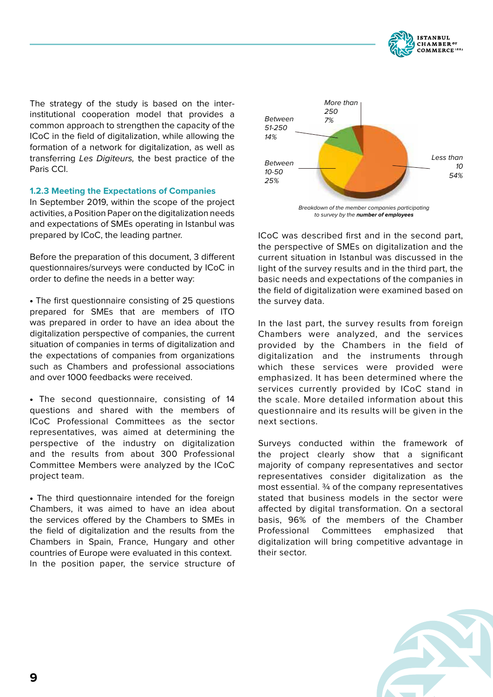

The strategy of the study is based on the interinstitutional cooperation model that provides a common approach to strengthen the capacity of the ICoC in the field of digitalization, while allowing the formation of a network for digitalization, as well as transferring *Les Digiteurs,* the best practice of the Paris CCI.

## **1.2.3 Meeting the Expectations of Companies**

In September 2019, within the scope of the project activities, a Position Paper on the digitalization needs and expectations of SMEs operating in Istanbul was prepared by ICoC, the leading partner.

Before the preparation of this document, 3 different questionnaires/surveys were conducted by ICoC in order to define the needs in a better way:

• The first questionnaire consisting of 25 questions prepared for SMEs that are members of ITO was prepared in order to have an idea about the digitalization perspective of companies, the current situation of companies in terms of digitalization and the expectations of companies from organizations such as Chambers and professional associations and over 1000 feedbacks were received.

• The second questionnaire, consisting of 14 questions and shared with the members of ICoC Professional Committees as the sector representatives, was aimed at determining the perspective of the industry on digitalization and the results from about 300 Professional Committee Members were analyzed by the ICoC project team.

• The third questionnaire intended for the foreign Chambers, it was aimed to have an idea about the services offered by the Chambers to SMEs in the field of digitalization and the results from the Chambers in Spain, France, Hungary and other countries of Europe were evaluated in this context. In the position paper, the service structure of



*Breakdown of the member companies participating to survey by the* **number of employees**

ICoC was described first and in the second part, the perspective of SMEs on digitalization and the current situation in Istanbul was discussed in the light of the survey results and in the third part, the basic needs and expectations of the companies in the field of digitalization were examined based on the survey data.

In the last part, the survey results from foreign Chambers were analyzed, and the services provided by the Chambers in the field of digitalization and the instruments through which these services were provided were emphasized. It has been determined where the services currently provided by ICoC stand in the scale. More detailed information about this questionnaire and its results will be given in the next sections.

Surveys conducted within the framework of the project clearly show that a significant majority of company representatives and sector representatives consider digitalization as the most essential. ¾ of the company representatives stated that business models in the sector were affected by digital transformation. On a sectoral basis, 96% of the members of the Chamber Professional Committees emphasized that digitalization will bring competitive advantage in their sector.

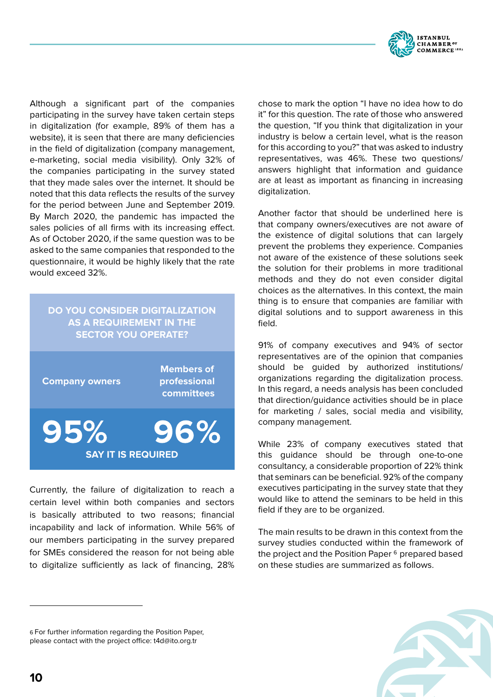

Although a significant part of the companies participating in the survey have taken certain steps in digitalization (for example, 89% of them has a website), it is seen that there are many deficiencies in the field of digitalization (company management, e-marketing, social media visibility). Only 32% of the companies participating in the survey stated that they made sales over the internet. It should be noted that this data reflects the results of the survey for the period between June and September 2019. By March 2020, the pandemic has impacted the sales policies of all firms with its increasing effect. As of October 2020, if the same question was to be asked to the same companies that responded to the questionnaire, it would be highly likely that the rate would exceed 32%.

## **DO YOU CONSIDER DIGITALIZATION AS A REQUIREMENT IN THE SECTOR YOU OPERATE?**

| <b>Company owners</b>            | <b>Members of</b><br>professional<br>committees |
|----------------------------------|-------------------------------------------------|
| 95%<br><b>SAY IT IS REQUIRED</b> | 96%                                             |

Currently, the failure of digitalization to reach a certain level within both companies and sectors is basically attributed to two reasons; financial incapability and lack of information. While 56% of our members participating in the survey prepared for SMEs considered the reason for not being able to digitalize sufficiently as lack of financing, 28% chose to mark the option "I have no idea how to do it" for this question. The rate of those who answered the question, "If you think that digitalization in your industry is below a certain level, what is the reason for this according to you?" that was asked to industry representatives, was 46%. These two questions/ answers highlight that information and guidance are at least as important as financing in increasing digitalization.

Another factor that should be underlined here is that company owners/executives are not aware of the existence of digital solutions that can largely prevent the problems they experience. Companies not aware of the existence of these solutions seek the solution for their problems in more traditional methods and they do not even consider digital choices as the alternatives. In this context, the main thing is to ensure that companies are familiar with digital solutions and to support awareness in this field.

91% of company executives and 94% of sector representatives are of the opinion that companies should be guided by authorized institutions/ organizations regarding the digitalization process. In this regard, a needs analysis has been concluded that direction/guidance activities should be in place for marketing / sales, social media and visibility, company management.

While 23% of company executives stated that this guidance should be through one-to-one consultancy, a considerable proportion of 22% think that seminars can be beneficial. 92% of the company executives participating in the survey state that they would like to attend the seminars to be held in this field if they are to be organized.

The main results to be drawn in this context from the survey studies conducted within the framework of the project and the Position Paper<sup>6</sup> prepared based on these studies are summarized as follows.

6 For further information regarding the Position Paper, please contact with the project office: t4d@ito.org.tr

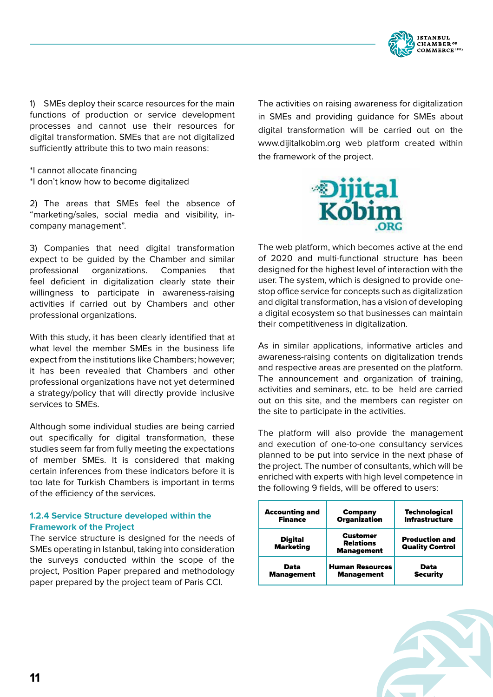

1) SMEs deploy their scarce resources for the main functions of production or service development processes and cannot use their resources for digital transformation. SMEs that are not digitalized sufficiently attribute this to two main reasons:

\*I cannot allocate financing \*I don't know how to become digitalized

2) The areas that SMEs feel the absence of "marketing/sales, social media and visibility, incompany management".

3) Companies that need digital transformation expect to be guided by the Chamber and similar professional organizations. Companies that feel deficient in digitalization clearly state their willingness to participate in awareness-raising activities if carried out by Chambers and other professional organizations.

With this study, it has been clearly identified that at what level the member SMEs in the business life expect from the institutions like Chambers; however; it has been revealed that Chambers and other professional organizations have not yet determined a strategy/policy that will directly provide inclusive services to SMEs.

Although some individual studies are being carried out specifically for digital transformation, these studies seem far from fully meeting the expectations of member SMEs. It is considered that making certain inferences from these indicators before it is too late for Turkish Chambers is important in terms of the efficiency of the services.

## **1.2.4 Service Structure developed within the Framework of the Project**

The service structure is designed for the needs of SMEs operating in Istanbul, taking into consideration the surveys conducted within the scope of the project, Position Paper prepared and methodology paper prepared by the project team of Paris CCI.

The activities on raising awareness for digitalization in SMEs and providing guidance for SMEs about digital transformation will be carried out on the www.dijitalkobim.org web platform created within the framework of the project.



The web platform, which becomes active at the end of 2020 and multi-functional structure has been designed for the highest level of interaction with the user. The system, which is designed to provide onestop office service for concepts such as digitalization and digital transformation, has a vision of developing a digital ecosystem so that businesses can maintain their competitiveness in digitalization.

As in similar applications, informative articles and awareness-raising contents on digitalization trends and respective areas are presented on the platform. The announcement and organization of training, activities and seminars, etc. to be held are carried out on this site, and the members can register on the site to participate in the activities.

The platform will also provide the management and execution of one-to-one consultancy services planned to be put into service in the next phase of the project. The number of consultants, which will be enriched with experts with high level competence in the following 9 fields, will be offered to users:

| <b>Accounting and</b>              | <b>Company</b>                                           | <b>Technological</b>                            |
|------------------------------------|----------------------------------------------------------|-------------------------------------------------|
| <b>Finance</b>                     | <b>Organization</b>                                      | <b>Infrastructure</b>                           |
| <b>Digital</b><br><b>Marketing</b> | <b>Customer</b><br><b>Relations</b><br><b>Management</b> | <b>Production and</b><br><b>Quality Control</b> |
| Data                               | <b>Human Resources</b>                                   | Data                                            |
| <b>Management</b>                  | <b>Management</b>                                        | <b>Security</b>                                 |

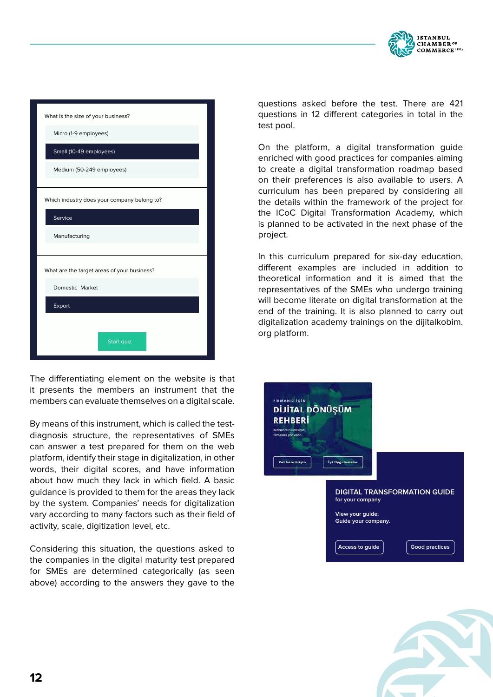

| What is the size of your business?          |
|---------------------------------------------|
| Micro (1-9 employees)                       |
| Small (10-49 employees)                     |
| Medium (50-249 employees)                   |
|                                             |
| Which industry does your company belong to? |
| Service                                     |
| Manufacturing                               |
|                                             |
| What are the target areas of your business? |
| Domestic Market                             |
| Export                                      |
|                                             |
| Start quiz                                  |

The differentiating element on the website is that it presents the members an instrument that the members can evaluate themselves on a digital scale.

By means of this instrument, which is called the testdiagnosis structure, the representatives of SMEs can answer a test prepared for them on the web platform, identify their stage in digitalization, in other words, their digital scores, and have information about how much they lack in which field. A basic guidance is provided to them for the areas they lack by the system. Companies' needs for digitalization vary according to many factors such as their field of activity, scale, digitization level, etc.

Considering this situation, the questions asked to the companies in the digital maturity test prepared for SMEs are determined categorically (as seen above) according to the answers they gave to the questions asked before the test. There are 421 questions in 12 different categories in total in the test pool.

On the platform, a digital transformation guide enriched with good practices for companies aiming to create a digital transformation roadmap based on their preferences is also available to users. A curriculum has been prepared by considering all the details within the framework of the project for the ICoC Digital Transformation Academy, which is planned to be activated in the next phase of the project.

In this curriculum prepared for six-day education, different examples are included in addition to theoretical information and it is aimed that the representatives of the SMEs who undergo training will become literate on digital transformation at the end of the training. It is also planned to carry out digitalization academy trainings on the dijitalkobim. org platform.



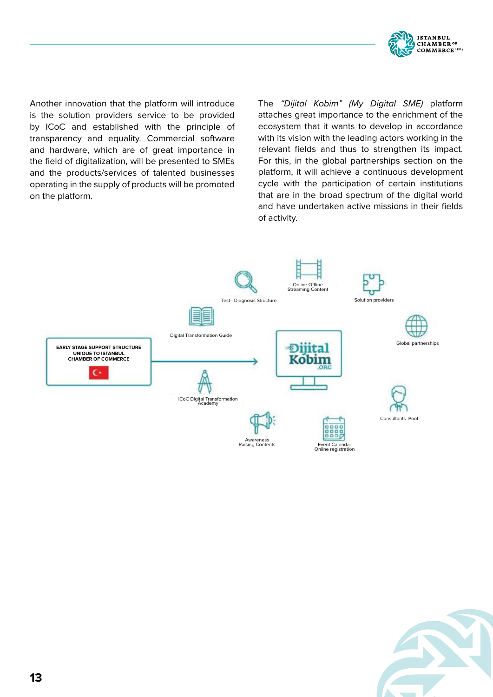

Another innovation that the platform will introduce is the solution providers service to be provided by ICoC and established with the principle of transparency and equality. Commercial software and hardware, which are of great importance in the field of digitalization, will be presented to SMEs and the products/services of talented businesses operating in the supply of products will be promoted on the platform.

The *"Dijital Kobim" (My Digital SME)* platform attaches great importance to the enrichment of the ecosystem that it wants to develop in accordance with its vision with the leading actors working in the relevant fields and thus to strengthen its impact. For this, in the global partnerships section on the platform, it will achieve a continuous development cycle with the participation of certain institutions that are in the broad spectrum of the digital world and have undertaken active missions in their fields of activity.



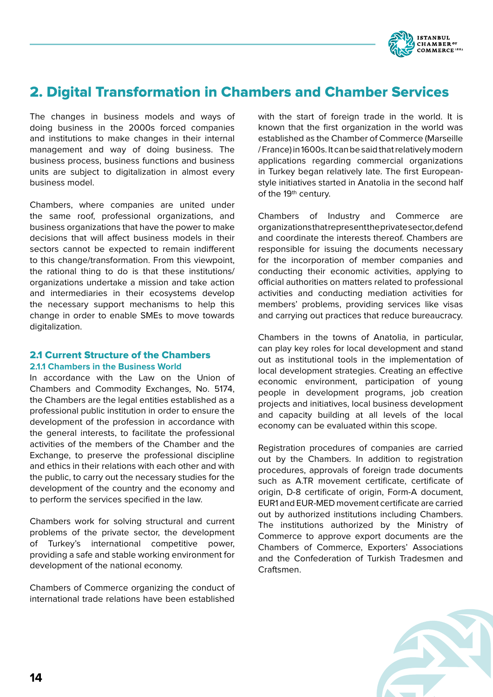

# 2. Digital Transformation in Chambers and Chamber Services

The changes in business models and ways of doing business in the 2000s forced companies and institutions to make changes in their internal management and way of doing business. The business process, business functions and business units are subject to digitalization in almost every business model.

Chambers, where companies are united under the same roof, professional organizations, and business organizations that have the power to make decisions that will affect business models in their sectors cannot be expected to remain indifferent to this change/transformation. From this viewpoint, the rational thing to do is that these institutions/ organizations undertake a mission and take action and intermediaries in their ecosystems develop the necessary support mechanisms to help this change in order to enable SMEs to move towards digitalization.

## 2.1 Current Structure of the Chambers **2.1.1 Chambers in the Business World**

In accordance with the Law on the Union of Chambers and Commodity Exchanges, No. 5174, the Chambers are the legal entities established as a professional public institution in order to ensure the development of the profession in accordance with the general interests, to facilitate the professional activities of the members of the Chamber and the Exchange, to preserve the professional discipline and ethics in their relations with each other and with the public, to carry out the necessary studies for the development of the country and the economy and to perform the services specified in the law.

Chambers work for solving structural and current problems of the private sector, the development of Turkey's international competitive power, providing a safe and stable working environment for development of the national economy.

Chambers of Commerce organizing the conduct of international trade relations have been established with the start of foreign trade in the world. It is known that the first organization in the world was established as the Chamber of Commerce (Marseille / France) in 1600s. It can be said that relatively modern applications regarding commercial organizations in Turkey began relatively late. The first Europeanstyle initiatives started in Anatolia in the second half of the 19<sup>th</sup> century.

Chambers of Industry and Commerce are organizations that represent the private sector, defend and coordinate the interests thereof. Chambers are responsible for issuing the documents necessary for the incorporation of member companies and conducting their economic activities, applying to official authorities on matters related to professional activities and conducting mediation activities for members' problems, providing services like visas and carrying out practices that reduce bureaucracy.

Chambers in the towns of Anatolia, in particular, can play key roles for local development and stand out as institutional tools in the implementation of local development strategies. Creating an effective economic environment, participation of young people in development programs, job creation projects and initiatives, local business development and capacity building at all levels of the local economy can be evaluated within this scope.

Registration procedures of companies are carried out by the Chambers. In addition to registration procedures, approvals of foreign trade documents such as A.TR movement certificate, certificate of origin, D-8 certificate of origin, Form-A document, EUR1 and EUR-MED movement certificate are carried out by authorized institutions including Chambers. The institutions authorized by the Ministry of Commerce to approve export documents are the Chambers of Commerce, Exporters' Associations and the Confederation of Turkish Tradesmen and Craftsmen.

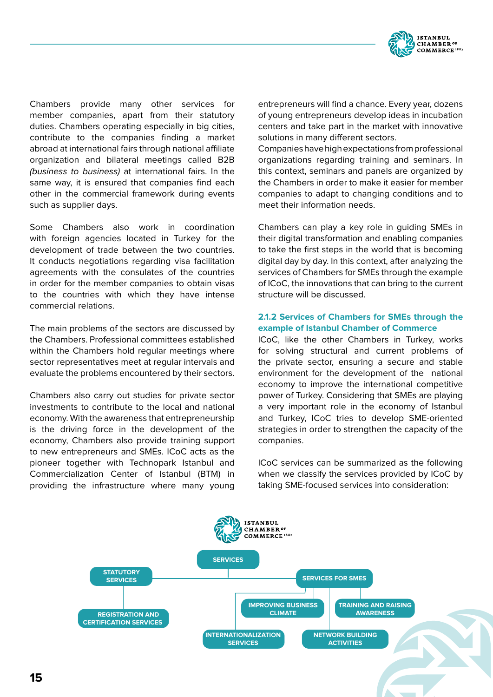

Chambers provide many other services for member companies, apart from their statutory duties. Chambers operating especially in big cities, contribute to the companies finding a market abroad at international fairs through national affiliate organization and bilateral meetings called B2B *(business to business)* at international fairs. In the same way, it is ensured that companies find each other in the commercial framework during events such as supplier days.

Some Chambers also work in coordination with foreign agencies located in Turkey for the development of trade between the two countries. It conducts negotiations regarding visa facilitation agreements with the consulates of the countries in order for the member companies to obtain visas to the countries with which they have intense commercial relations.

The main problems of the sectors are discussed by the Chambers. Professional committees established within the Chambers hold regular meetings where sector representatives meet at regular intervals and evaluate the problems encountered by their sectors.

Chambers also carry out studies for private sector investments to contribute to the local and national economy. With the awareness that entrepreneurship is the driving force in the development of the economy, Chambers also provide training support to new entrepreneurs and SMEs. ICoC acts as the pioneer together with Technopark Istanbul and Commercialization Center of Istanbul (BTM) in providing the infrastructure where many young entrepreneurs will find a chance. Every year, dozens of young entrepreneurs develop ideas in incubation centers and take part in the market with innovative solutions in many different sectors.

Companies have high expectations from professional organizations regarding training and seminars. In this context, seminars and panels are organized by the Chambers in order to make it easier for member companies to adapt to changing conditions and to meet their information needs.

Chambers can play a key role in guiding SMEs in their digital transformation and enabling companies to take the first steps in the world that is becoming digital day by day. In this context, after analyzing the services of Chambers for SMEs through the example of ICoC, the innovations that can bring to the current structure will be discussed.

## **2.1.2 Services of Chambers for SMEs through the example of Istanbul Chamber of Commerce**

ICoC, like the other Chambers in Turkey, works for solving structural and current problems of the private sector, ensuring a secure and stable environment for the development of the national economy to improve the international competitive power of Turkey. Considering that SMEs are playing a very important role in the economy of Istanbul and Turkey, ICoC tries to develop SME-oriented strategies in order to strengthen the capacity of the companies.

ICoC services can be summarized as the following when we classify the services provided by ICoC by taking SME-focused services into consideration:

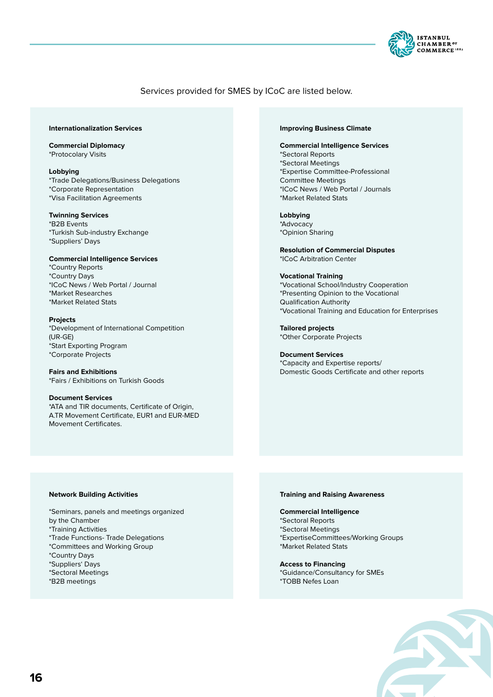

## Services provided for SMES by ICoC are listed below.

#### **Internationalization Services**

**Commercial Diplomacy** \*Protocolary Visits

**Lobbying** \*Trade Delegations/Business Delegations \*Corporate Representation \*Visa Facilitation Agreements

#### **Twinning Services** \*B2B Events

\*Turkish Sub-industry Exchange \*Suppliers' Days

**Commercial Intelligence Services** \*Country Reports

\*Country Days \*ICoC News / Web Portal / Journal \*Market Researches \*Market Related Stats

#### **Projects**

\*Development of International Competition (UR-GE) \*Start Exporting Program \*Corporate Projects

**Fairs and Exhibitions** \*Fairs / Exhibitions on Turkish Goods

**Document Services** \*ATA and TIR documents, Certificate of Origin, A.TR Movement Certificate, EUR1 and EUR-MED Movement Certificates.

#### **Improving Business Climate**

#### **Commercial Intelligence Services** \*Sectoral Reports \*Sectoral Meetings \*Expertise Committee-Professional Committee Meetings \*ICoC News / Web Portal / Journals

**Lobbying** \*Advocacy \*Opinion Sharing

\*Market Related Stats

**Resolution of Commercial Disputes** \*ICoC Arbitration Center

#### **Vocational Training**

\*Vocational School/Industry Cooperation \*Presenting Opinion to the Vocational Qualification Authority \*Vocational Training and Education for Enterprises

**Tailored projects**  \*Other Corporate Projects

**Document Services** \*Capacity and Expertise reports/ Domestic Goods Certificate and other reports

#### **Network Building Activities**

\*Seminars, panels and meetings organized by the Chamber \*Training Activities \*Trade Functions- Trade Delegations \*Committees and Working Group \*Country Days

- \*Suppliers' Days \*Sectoral Meetings
- 
- \*B2B meetings

#### **Training and Raising Awareness**

#### **Commercial Intelligence**

- \*Sectoral Reports
- \*Sectoral Meetings
- \*ExpertiseCommittees/Working Groups
- \*Market Related Stats

#### **Access to Financing**

\*Guidance/Consultancy for SMEs \*TOBB Nefes Loan

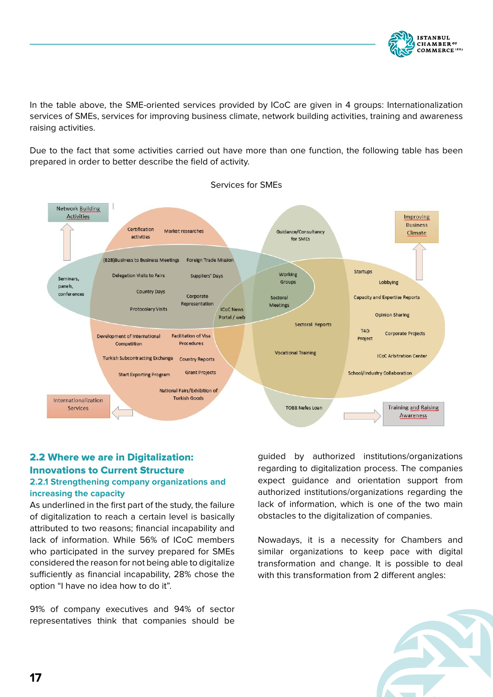

In the table above, the SME-oriented services provided by ICoC are given in 4 groups: Internationalization services of SMEs, services for improving business climate, network building activities, training and awareness raising activities.

Due to the fact that some activities carried out have more than one function, the following table has been prepared in order to better describe the field of activity.



## 2.2 Where we are in Digitalization: Innovations to Current Structure

## **2.2.1 Strengthening company organizations and increasing the capacity**

As underlined in the first part of the study, the failure of digitalization to reach a certain level is basically attributed to two reasons; financial incapability and lack of information. While 56% of ICoC members who participated in the survey prepared for SMEs considered the reason for not being able to digitalize sufficiently as financial incapability, 28% chose the option "I have no idea how to do it".

91% of company executives and 94% of sector representatives think that companies should be

guided by authorized institutions/organizations regarding to digitalization process. The companies expect guidance and orientation support from authorized institutions/organizations regarding the lack of information, which is one of the two main obstacles to the digitalization of companies.

Nowadays, it is a necessity for Chambers and similar organizations to keep pace with digital transformation and change. It is possible to deal with this transformation from 2 different angles:

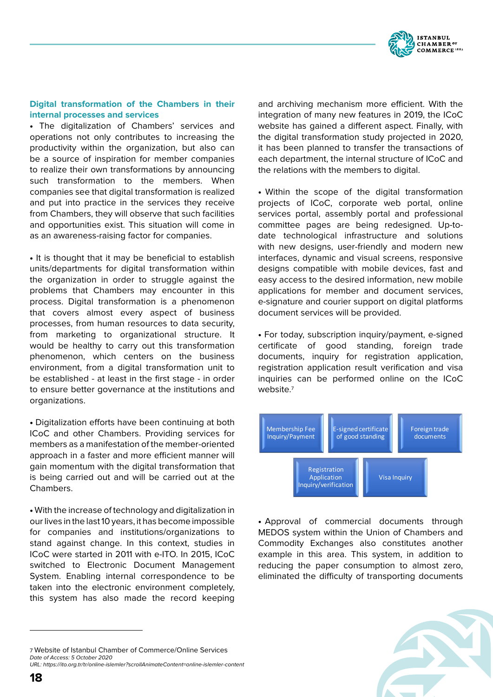

## **Digital transformation of the Chambers in their internal processes and services**

• The digitalization of Chambers' services and operations not only contributes to increasing the productivity within the organization, but also can be a source of inspiration for member companies to realize their own transformations by announcing such transformation to the members. When companies see that digital transformation is realized and put into practice in the services they receive from Chambers, they will observe that such facilities and opportunities exist. This situation will come in as an awareness-raising factor for companies.

• It is thought that it may be beneficial to establish units/departments for digital transformation within the organization in order to struggle against the problems that Chambers may encounter in this process. Digital transformation is a phenomenon that covers almost every aspect of business processes, from human resources to data security, from marketing to organizational structure. It would be healthy to carry out this transformation phenomenon, which centers on the business environment, from a digital transformation unit to be established - at least in the first stage - in order to ensure better governance at the institutions and organizations.

• Digitalization efforts have been continuing at both ICoC and other Chambers. Providing services for members as a manifestation of the member-oriented approach in a faster and more efficient manner will gain momentum with the digital transformation that is being carried out and will be carried out at the Chambers.

• With the increase of technology and digitalization in our lives in the last 10 years, it has become impossible for companies and institutions/organizations to stand against change. In this context, studies in ICoC were started in 2011 with e-ITO. In 2015, ICoC switched to Electronic Document Management System. Enabling internal correspondence to be taken into the electronic environment completely, this system has also made the record keeping

7 Website of Istanbul Chamber of Commerce/Online Services *Date of Access: 5 October 2020*

*URL: https://ito.org.tr/tr/online-islemler?scrollAnimateContent=online-islemler-content*

and archiving mechanism more efficient. With the integration of many new features in 2019, the ICoC website has gained a different aspect. Finally, with the digital transformation study projected in 2020, it has been planned to transfer the transactions of each department, the internal structure of ICoC and the relations with the members to digital.

• Within the scope of the digital transformation projects of ICoC, corporate web portal, online services portal, assembly portal and professional committee pages are being redesigned. Up-todate technological infrastructure and solutions with new designs, user-friendly and modern new interfaces, dynamic and visual screens, responsive designs compatible with mobile devices, fast and easy access to the desired information, new mobile applications for member and document services, e-signature and courier support on digital platforms document services will be provided.

• For today, subscription inquiry/payment, e-signed certificate of good standing, foreign trade documents, inquiry for registration application, registration application result verification and visa inquiries can be performed online on the ICoC website.<sup>7</sup>



• Approval of commercial documents through MEDOS system within the Union of Chambers and Commodity Exchanges also constitutes another example in this area. This system, in addition to reducing the paper consumption to almost zero, eliminated the difficulty of transporting documents

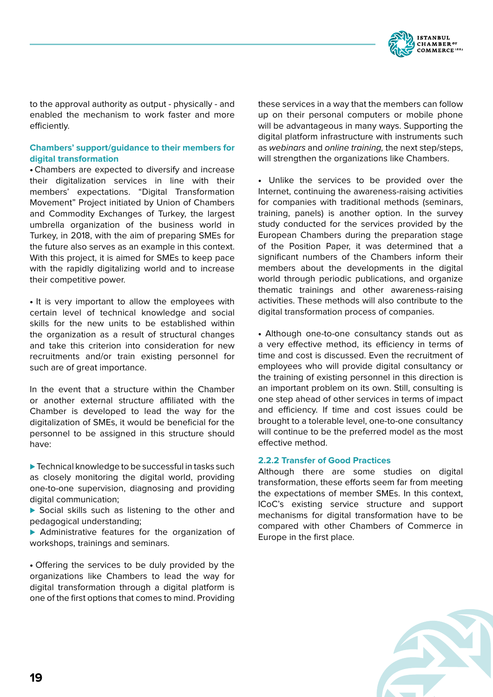

to the approval authority as output - physically - and enabled the mechanism to work faster and more efficiently.

## **Chambers' support/guidance to their members for digital transformation**

• Chambers are expected to diversify and increase their digitalization services in line with their members' expectations. "Digital Transformation Movement" Project initiated by Union of Chambers and Commodity Exchanges of Turkey, the largest umbrella organization of the business world in Turkey, in 2018, with the aim of preparing SMEs for the future also serves as an example in this context. With this project, it is aimed for SMEs to keep pace with the rapidly digitalizing world and to increase their competitive power.

• It is very important to allow the employees with certain level of technical knowledge and social skills for the new units to be established within the organization as a result of structural changes and take this criterion into consideration for new recruitments and/or train existing personnel for such are of great importance.

In the event that a structure within the Chamber or another external structure affiliated with the Chamber is developed to lead the way for the digitalization of SMEs, it would be beneficial for the personnel to be assigned in this structure should have:

▶ Technical knowledge to be successful in tasks such as closely monitoring the digital world, providing one-to-one supervision, diagnosing and providing digital communication;

▶ Social skills such as listening to the other and pedagogical understanding;

▶ Administrative features for the organization of workshops, trainings and seminars.

• Offering the services to be duly provided by the organizations like Chambers to lead the way for digital transformation through a digital platform is one of the first options that comes to mind. Providing these services in a way that the members can follow up on their personal computers or mobile phone will be advantageous in many ways. Supporting the digital platform infrastructure with instruments such as *webinars* and *online training,* the next step/steps, will strengthen the organizations like Chambers.

• Unlike the services to be provided over the Internet, continuing the awareness-raising activities for companies with traditional methods (seminars, training, panels) is another option. In the survey study conducted for the services provided by the European Chambers during the preparation stage of the Position Paper, it was determined that a significant numbers of the Chambers inform their members about the developments in the digital world through periodic publications, and organize thematic trainings and other awareness-raising activities. These methods will also contribute to the digital transformation process of companies.

• Although one-to-one consultancy stands out as a very effective method, its efficiency in terms of time and cost is discussed. Even the recruitment of employees who will provide digital consultancy or the training of existing personnel in this direction is an important problem on its own. Still, consulting is one step ahead of other services in terms of impact and efficiency. If time and cost issues could be brought to a tolerable level, one-to-one consultancy will continue to be the preferred model as the most effective method.

## **2.2.2 Transfer of Good Practices**

Although there are some studies on digital transformation, these efforts seem far from meeting the expectations of member SMEs. In this context, ICoC's existing service structure and support mechanisms for digital transformation have to be compared with other Chambers of Commerce in Europe in the first place.

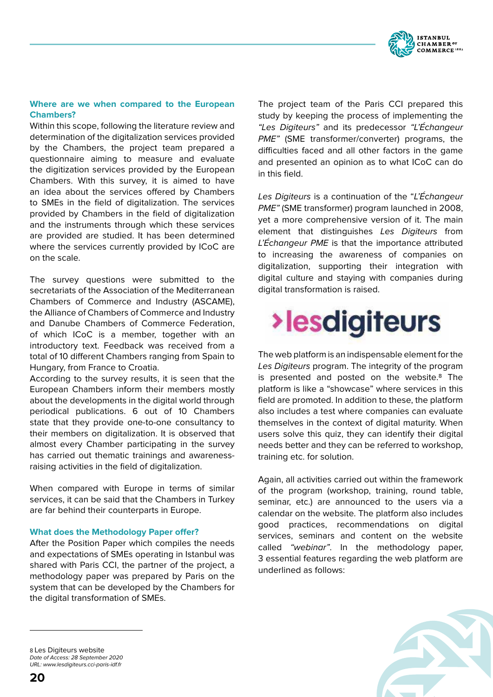

## **Where are we when compared to the European Chambers?**

Within this scope, following the literature review and determination of the digitalization services provided by the Chambers, the project team prepared a questionnaire aiming to measure and evaluate the digitization services provided by the European Chambers. With this survey, it is aimed to have an idea about the services offered by Chambers to SMEs in the field of digitalization. The services provided by Chambers in the field of digitalization and the instruments through which these services are provided are studied. It has been determined where the services currently provided by ICoC are on the scale.

The survey questions were submitted to the secretariats of the Association of the Mediterranean Chambers of Commerce and Industry (ASCAME), the Alliance of Chambers of Commerce and Industry and Danube Chambers of Commerce Federation, of which ICoC is a member, together with an introductory text. Feedback was received from a total of 10 different Chambers ranging from Spain to Hungary, from France to Croatia.

According to the survey results, it is seen that the European Chambers inform their members mostly about the developments in the digital world through periodical publications. 6 out of 10 Chambers state that they provide one-to-one consultancy to their members on digitalization. It is observed that almost every Chamber participating in the survey has carried out thematic trainings and awarenessraising activities in the field of digitalization.

When compared with Europe in terms of similar services, it can be said that the Chambers in Turkey are far behind their counterparts in Europe.

#### **What does the Methodology Paper offer?**

After the Position Paper which compiles the needs and expectations of SMEs operating in Istanbul was shared with Paris CCI, the partner of the project, a methodology paper was prepared by Paris on the system that can be developed by the Chambers for the digital transformation of SMEs.

The project team of the Paris CCI prepared this study by keeping the process of implementing the *"Les Digiteurs"* and its predecessor *"L'Échangeur PME"* (SME transformer/converter) programs, the difficulties faced and all other factors in the game and presented an opinion as to what ICoC can do in this field.

*Les Digiteurs* is a continuation of the "*L'Échangeur PME"* (SME transformer) program launched in 2008, yet a more comprehensive version of it. The main element that distinguishes *Les Digiteurs* from *L'Échangeur PME* is that the importance attributed to increasing the awareness of companies on digitalization, supporting their integration with digital culture and staying with companies during digital transformation is raised.

# **>lesdigiteurs**

The web platform is an indispensable element for the *Les Digiteurs* program. The integrity of the program is presented and posted on the website.8 The platform is like a "showcase" where services in this field are promoted. In addition to these, the platform also includes a test where companies can evaluate themselves in the context of digital maturity. When users solve this quiz, they can identify their digital needs better and they can be referred to workshop, training etc. for solution.

Again, all activities carried out within the framework of the program (workshop, training, round table, seminar, etc.) are announced to the users via a calendar on the website. The platform also includes good practices, recommendations on digital services, seminars and content on the website called *"webinar"*. In the methodology paper, 3 essential features regarding the web platform are underlined as follows:



8 Les Digiteurs website *Date of Access: 28 September 2020 URL: www.lesdigiteurs.cci-paris-idf.fr*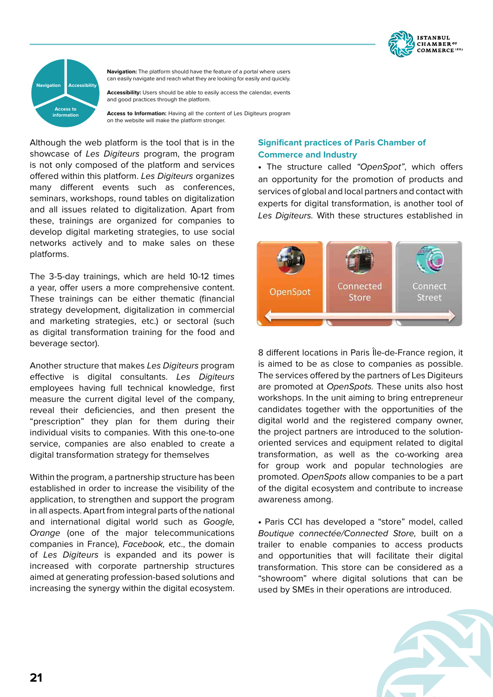



**Navigation:** The platform should have the feature of a portal where users can easily navigate and reach what they are looking for easily and quickly.

**Accessibility:** Users should be able to easily access the calendar, events and good practices through the platform.

**Access to Information:** Having all the content of Les Digiteurs program on the website will make the platform stronger.

Although the web platform is the tool that is in the showcase of *Les Digiteurs* program, the program is not only composed of the platform and services offered within this platform. *Les Digiteurs* organizes many different events such as conferences, seminars, workshops, round tables on digitalization and all issues related to digitalization. Apart from these, trainings are organized for companies to develop digital marketing strategies, to use social networks actively and to make sales on these platforms.

The 3-5-day trainings, which are held 10-12 times a year, offer users a more comprehensive content. These trainings can be either thematic (financial strategy development, digitalization in commercial and marketing strategies, etc.) or sectoral (such as digital transformation training for the food and beverage sector).

Another structure that makes *Les Digiteurs* program effective is digital consultants. *Les Digiteurs* employees having full technical knowledge, first measure the current digital level of the company, reveal their deficiencies, and then present the "prescription" they plan for them during their individual visits to companies. With this one-to-one service, companies are also enabled to create a digital transformation strategy for themselves

Within the program, a partnership structure has been established in order to increase the visibility of the application, to strengthen and support the program in all aspects. Apart from integral parts of the national and international digital world such as *Google, Orange* (one of the major telecommunications companies in France), *Facebook,* etc., the domain of *Les Digiteurs* is expanded and its power is increased with corporate partnership structures aimed at generating profession-based solutions and increasing the synergy within the digital ecosystem.

## **Significant practices of Paris Chamber of Commerce and Industry**

• The structure called *"OpenSpot"*, which offers an opportunity for the promotion of products and services of global and local partners and contact with experts for digital transformation, is another tool of *Les Digiteurs.* With these structures established in



8 different locations in Paris Île-de-France region, it is aimed to be as close to companies as possible. The services offered by the partners of Les Digiteurs are promoted at *OpenSpots.* These units also host workshops. In the unit aiming to bring entrepreneur candidates together with the opportunities of the digital world and the registered company owner, the project partners are introduced to the solutionoriented services and equipment related to digital transformation, as well as the co-working area for group work and popular technologies are promoted. *OpenSpots* allow companies to be a part of the digital ecosystem and contribute to increase awareness among.

• Paris CCI has developed a "store" model, called *Boutique connectée/Connected Store,* built on a trailer to enable companies to access products and opportunities that will facilitate their digital transformation. This store can be considered as a "showroom" where digital solutions that can be used by SMEs in their operations are introduced.

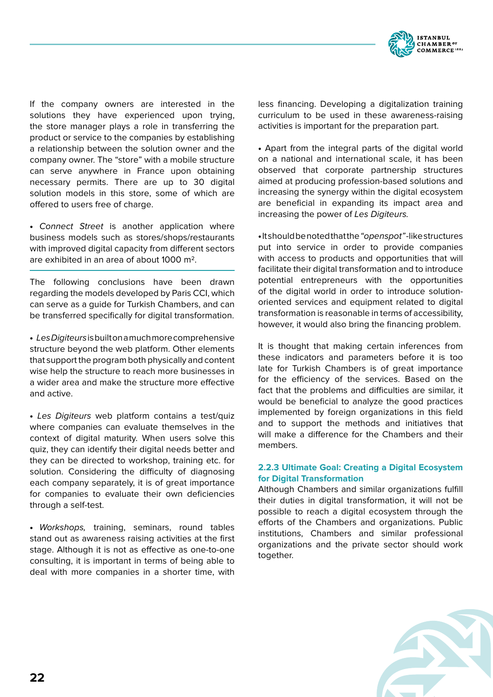

If the company owners are interested in the solutions they have experienced upon trying. the store manager plays a role in transferring the product or service to the companies by establishing a relationship between the solution owner and the company owner. The "store" with a mobile structure can serve anywhere in France upon obtaining necessary permits. There are up to 30 digital solution models in this store, some of which are offered to users free of charge.

• *Connect Street* is another application where business models such as stores/shops/restaurants with improved digital capacity from different sectors are exhibited in an area of about 1000 m2.

The following conclusions have been drawn regarding the models developed by Paris CCI, which can serve as a guide for Turkish Chambers, and can be transferred specifically for digital transformation.

• *Les Digiteurs* is built on a much more comprehensive structure beyond the web platform. Other elements that support the program both physically and content wise help the structure to reach more businesses in a wider area and make the structure more effective and active.

• *Les Digiteurs* web platform contains a test/quiz where companies can evaluate themselves in the context of digital maturity. When users solve this quiz, they can identify their digital needs better and they can be directed to workshop, training etc. for solution. Considering the difficulty of diagnosing each company separately, it is of great importance for companies to evaluate their own deficiencies through a self-test.

• *Workshops,* training, seminars, round tables stand out as awareness raising activities at the first stage. Although it is not as effective as one-to-one consulting, it is important in terms of being able to deal with more companies in a shorter time, with less financing. Developing a digitalization training curriculum to be used in these awareness-raising activities is important for the preparation part.

• Apart from the integral parts of the digital world on a national and international scale, it has been observed that corporate partnership structures aimed at producing profession-based solutions and increasing the synergy within the digital ecosystem are beneficial in expanding its impact area and increasing the power of *Les Digiteurs.*

• It should be noted that the *"openspot"* -like structures put into service in order to provide companies with access to products and opportunities that will facilitate their digital transformation and to introduce potential entrepreneurs with the opportunities of the digital world in order to introduce solutionoriented services and equipment related to digital transformation is reasonable in terms of accessibility, however, it would also bring the financing problem.

It is thought that making certain inferences from these indicators and parameters before it is too late for Turkish Chambers is of great importance for the efficiency of the services. Based on the fact that the problems and difficulties are similar, it would be beneficial to analyze the good practices implemented by foreign organizations in this field and to support the methods and initiatives that will make a difference for the Chambers and their members.

## **2.2.3 Ultimate Goal: Creating a Digital Ecosystem for Digital Transformation**

Although Chambers and similar organizations fulfill their duties in digital transformation, it will not be possible to reach a digital ecosystem through the efforts of the Chambers and organizations. Public institutions, Chambers and similar professional organizations and the private sector should work together.

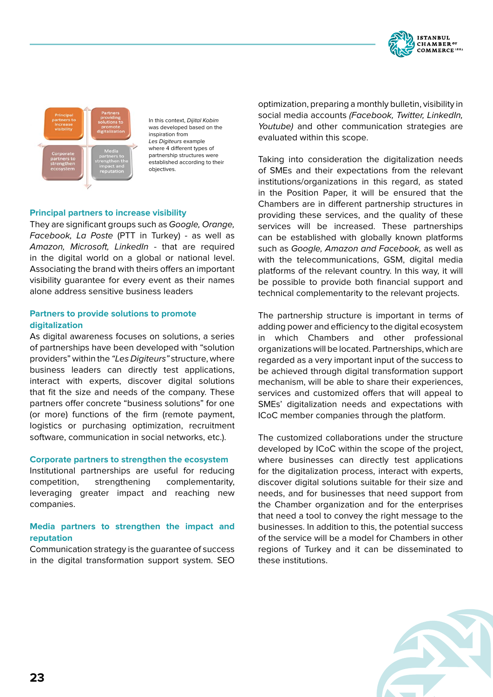



In this context, *Dijital Kobim* was developed based on the inspiration from *Les Digiteurs* example where 4 different types of partnership structures were established according to their objectives.

## **Principal partners to increase visibility**

They are significant groups such as *Google, Orange, Facebook, La Poste* (PTT in Turkey) - as well as *Amazon, Microsoft, LinkedIn* - that are required in the digital world on a global or national level. Associating the brand with theirs offers an important visibility guarantee for every event as their names alone address sensitive business leaders

## **Partners to provide solutions to promote digitalization**

As digital awareness focuses on solutions, a series of partnerships have been developed with "solution providers" within the *"Les Digiteurs"* structure, where business leaders can directly test applications, interact with experts, discover digital solutions that fit the size and needs of the company. These partners offer concrete "business solutions" for one (or more) functions of the firm (remote payment, logistics or purchasing optimization, recruitment software, communication in social networks, etc.).

#### **Corporate partners to strengthen the ecosystem**

Institutional partnerships are useful for reducing competition, strengthening complementarity, leveraging greater impact and reaching new companies.

## **Media partners to strengthen the impact and reputation**

Communication strategy is the guarantee of success in the digital transformation support system. SEO optimization, preparing a monthly bulletin, visibility in social media accounts *(Facebook, Twitter, LinkedIn, Youtube)* and other communication strategies are evaluated within this scope.

Taking into consideration the digitalization needs of SMEs and their expectations from the relevant institutions/organizations in this regard, as stated in the Position Paper, it will be ensured that the Chambers are in different partnership structures in providing these services, and the quality of these services will be increased. These partnerships can be established with globally known platforms such as *Google, Amazon and Facebook,* as well as with the telecommunications, GSM, digital media platforms of the relevant country. In this way, it will be possible to provide both financial support and technical complementarity to the relevant projects.

The partnership structure is important in terms of adding power and efficiency to the digital ecosystem in which Chambers and other professional organizations will be located. Partnerships, which are regarded as a very important input of the success to be achieved through digital transformation support mechanism, will be able to share their experiences, services and customized offers that will appeal to SMEs' digitalization needs and expectations with ICoC member companies through the platform.

The customized collaborations under the structure developed by ICoC within the scope of the project, where businesses can directly test applications for the digitalization process, interact with experts, discover digital solutions suitable for their size and needs, and for businesses that need support from the Chamber organization and for the enterprises that need a tool to convey the right message to the businesses. In addition to this, the potential success of the service will be a model for Chambers in other regions of Turkey and it can be disseminated to these institutions.

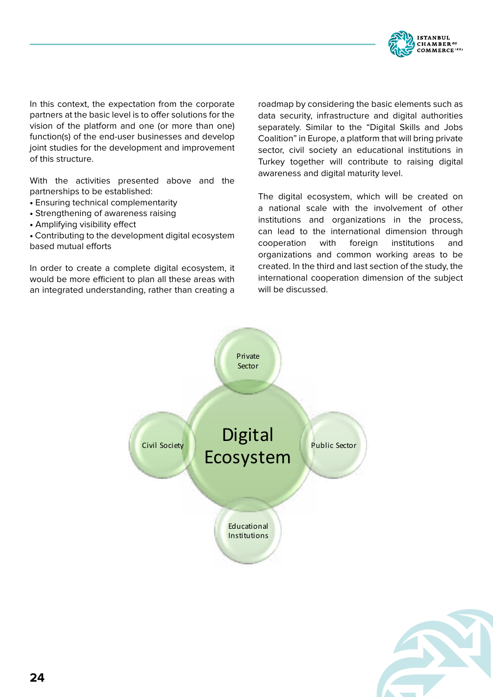

In this context, the expectation from the corporate partners at the basic level is to offer solutions for the vision of the platform and one (or more than one) function(s) of the end-user businesses and develop joint studies for the development and improvement of this structure.

With the activities presented above and the partnerships to be established:

- Ensuring technical complementarity
- Strengthening of awareness raising
- Amplifying visibility effect

• Contributing to the development digital ecosystem based mutual efforts

In order to create a complete digital ecosystem, it would be more efficient to plan all these areas with an integrated understanding, rather than creating a

roadmap by considering the basic elements such as data security, infrastructure and digital authorities separately. Similar to the "Digital Skills and Jobs Coalition" in Europe, a platform that will bring private sector, civil society an educational institutions in Turkey together will contribute to raising digital awareness and digital maturity level.

The digital ecosystem, which will be created on a national scale with the involvement of other institutions and organizations in the process, can lead to the international dimension through cooperation with foreign institutions and organizations and common working areas to be created. In the third and last section of the study, the international cooperation dimension of the subject will be discussed.



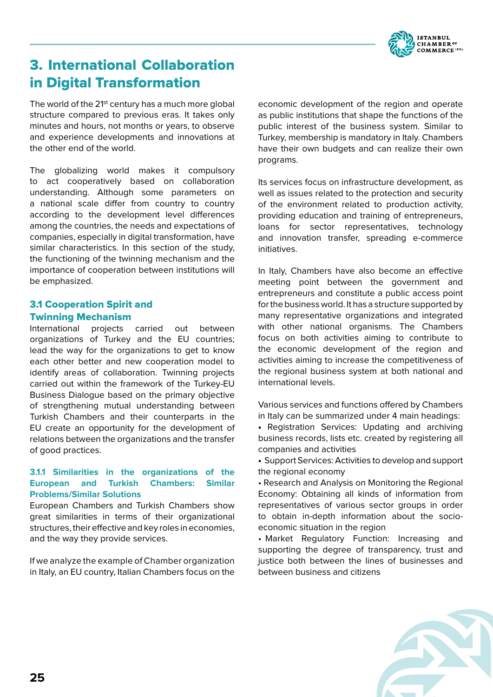

# 3. International Collaboration in Digital Transformation

The world of the 21<sup>st</sup> century has a much more global structure compared to previous eras. It takes only minutes and hours, not months or years, to observe and experience developments and innovations at the other end of the world.

The globalizing world makes it compulsory to act cooperatively based on collaboration understanding. Although some parameters on a national scale differ from country to country according to the development level differences among the countries, the needs and expectations of companies, especially in digital transformation, have similar characteristics. In this section of the study, the functioning of the twinning mechanism and the importance of cooperation between institutions will be emphasized.

## 3.1 Cooperation Spirit and Twinning Mechanism

International projects carried out between organizations of Turkey and the EU countries; lead the way for the organizations to get to know each other better and new cooperation model to identify areas of collaboration. Twinning projects carried out within the framework of the Turkey-EU Business Dialogue based on the primary objective of strengthening mutual understanding between Turkish Chambers and their counterparts in the EU create an opportunity for the development of relations between the organizations and the transfer of good practices.

## **3.1.1 Similarities in the organizations of the European and Turkish Chambers: Similar Problems/Similar Solutions**

European Chambers and Turkish Chambers show great similarities in terms of their organizational structures, their effective and key roles in economies, and the way they provide services.

If we analyze the example of Chamber organization in Italy, an EU country, Italian Chambers focus on the economic development of the region and operate as public institutions that shape the functions of the public interest of the business system. Similar to Turkey, membership is mandatory in Italy. Chambers have their own budgets and can realize their own programs.

Its services focus on infrastructure development, as well as issues related to the protection and security of the environment related to production activity, providing education and training of entrepreneurs, loans for sector representatives, technology and innovation transfer, spreading e-commerce initiatives.

In Italy, Chambers have also become an effective meeting point between the government and entrepreneurs and constitute a public access point for the business world. It has a structure supported by many representative organizations and integrated with other national organisms. The Chambers focus on both activities aiming to contribute to the economic development of the region and activities aiming to increase the competitiveness of the regional business system at both national and international levels.

Various services and functions offered by Chambers in Italy can be summarized under 4 main headings:

• Registration Services: Updating and archiving business records, lists etc. created by registering all companies and activities

• Support Services: Activities to develop and support the regional economy

• Research and Analysis on Monitoring the Regional Economy: Obtaining all kinds of information from representatives of various sector groups in order to obtain in-depth information about the socioeconomic situation in the region

• Market Regulatory Function: Increasing and supporting the degree of transparency, trust and justice both between the lines of businesses and between business and citizens

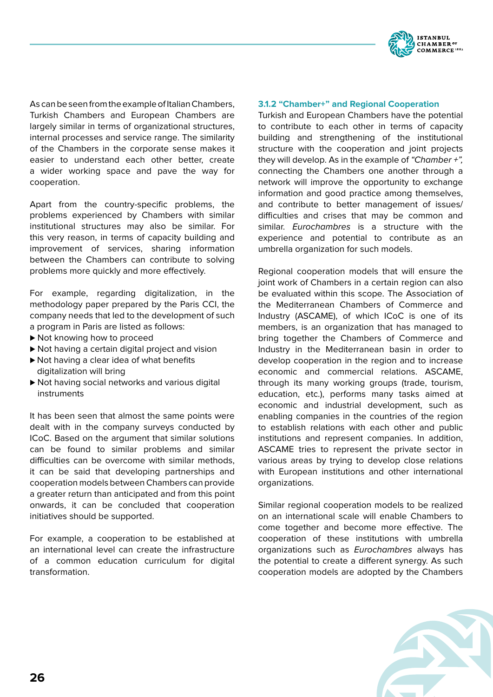

As can be seen from the example of Italian Chambers, Turkish Chambers and European Chambers are largely similar in terms of organizational structures, internal processes and service range. The similarity of the Chambers in the corporate sense makes it easier to understand each other better, create a wider working space and pave the way for cooperation.

Apart from the country-specific problems, the problems experienced by Chambers with similar institutional structures may also be similar. For this very reason, in terms of capacity building and improvement of services, sharing information between the Chambers can contribute to solving problems more quickly and more effectively.

For example, regarding digitalization, in the methodology paper prepared by the Paris CCI, the company needs that led to the development of such a program in Paris are listed as follows:

- ▶ Not knowing how to proceed
- ▶ Not having a certain digital project and vision
- ▶ Not having a clear idea of what benefits digitalization will bring
- ▶ Not having social networks and various digital instruments

It has been seen that almost the same points were dealt with in the company surveys conducted by ICoC. Based on the argument that similar solutions can be found to similar problems and similar difficulties can be overcome with similar methods, it can be said that developing partnerships and cooperation models between Chambers can provide a greater return than anticipated and from this point onwards, it can be concluded that cooperation initiatives should be supported.

For example, a cooperation to be established at an international level can create the infrastructure of a common education curriculum for digital transformation.

## **3.1.2 "Chamber+" and Regional Cooperation**

Turkish and European Chambers have the potential to contribute to each other in terms of capacity building and strengthening of the institutional structure with the cooperation and joint projects they will develop. As in the example of *"Chamber +",* connecting the Chambers one another through a network will improve the opportunity to exchange information and good practice among themselves, and contribute to better management of issues/ difficulties and crises that may be common and similar. *Eurochambres* is a structure with the experience and potential to contribute as an umbrella organization for such models.

Regional cooperation models that will ensure the joint work of Chambers in a certain region can also be evaluated within this scope. The Association of the Mediterranean Chambers of Commerce and Industry (ASCAME), of which ICoC is one of its members, is an organization that has managed to bring together the Chambers of Commerce and Industry in the Mediterranean basin in order to develop cooperation in the region and to increase economic and commercial relations. ASCAME, through its many working groups (trade, tourism, education, etc.), performs many tasks aimed at economic and industrial development, such as enabling companies in the countries of the region to establish relations with each other and public institutions and represent companies. In addition, ASCAME tries to represent the private sector in various areas by trying to develop close relations with European institutions and other international organizations.

Similar regional cooperation models to be realized on an international scale will enable Chambers to come together and become more effective. The cooperation of these institutions with umbrella organizations such as *Eurochambres* always has the potential to create a different synergy. As such cooperation models are adopted by the Chambers

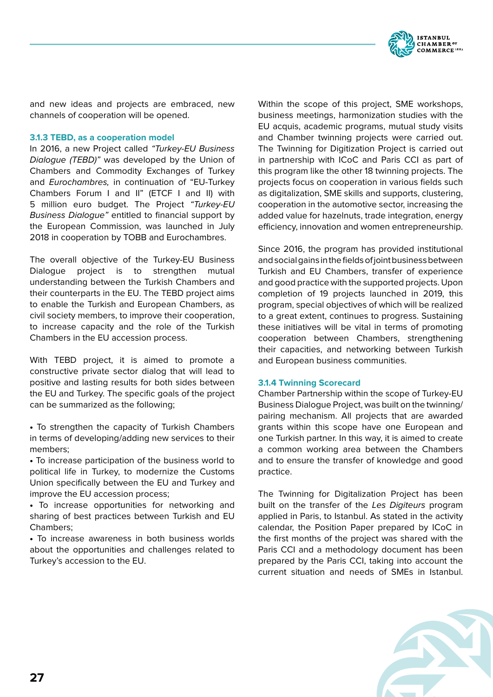

and new ideas and projects are embraced, new channels of cooperation will be opened.

## **3.1.3 TEBD, as a cooperation model**

In 2016, a new Project called *"Turkey-EU Business Dialogue (TEBD)"* was developed by the Union of Chambers and Commodity Exchanges of Turkey and *Eurochambres,* in continuation of "EU-Turkey Chambers Forum I and II" (ETCF I and II) with 5 million euro budget. The Project *"Turkey-EU Business Dialogue"* entitled to financial support by the European Commission, was launched in July 2018 in cooperation by TOBB and Eurochambres.

The overall objective of the Turkey-EU Business Dialogue project is to strengthen mutual understanding between the Turkish Chambers and their counterparts in the EU. The TEBD project aims to enable the Turkish and European Chambers, as civil society members, to improve their cooperation, to increase capacity and the role of the Turkish Chambers in the EU accession process.

With TEBD project, it is aimed to promote a constructive private sector dialog that will lead to positive and lasting results for both sides between the EU and Turkey. The specific goals of the project can be summarized as the following;

• To strengthen the capacity of Turkish Chambers in terms of developing/adding new services to their members;

• To increase participation of the business world to political life in Turkey, to modernize the Customs Union specifically between the EU and Turkey and improve the EU accession process;

• To increase opportunities for networking and sharing of best practices between Turkish and EU Chambers;

• To increase awareness in both business worlds about the opportunities and challenges related to Turkey's accession to the EU.

Within the scope of this project, SME workshops, business meetings, harmonization studies with the EU acquis, academic programs, mutual study visits and Chamber twinning projects were carried out. The Twinning for Digitization Project is carried out in partnership with ICoC and Paris CCI as part of this program like the other 18 twinning projects. The projects focus on cooperation in various fields such as digitalization, SME skills and supports, clustering, cooperation in the automotive sector, increasing the added value for hazelnuts, trade integration, energy efficiency, innovation and women entrepreneurship.

Since 2016, the program has provided institutional and social gains in the fields of joint business between Turkish and EU Chambers, transfer of experience and good practice with the supported projects. Upon completion of 19 projects launched in 2019, this program, special objectives of which will be realized to a great extent, continues to progress. Sustaining these initiatives will be vital in terms of promoting cooperation between Chambers, strengthening their capacities, and networking between Turkish and European business communities.

#### **3.1.4 Twinning Scorecard**

Chamber Partnership within the scope of Turkey-EU Business Dialogue Project, was built on the twinning/ pairing mechanism. All projects that are awarded grants within this scope have one European and one Turkish partner. In this way, it is aimed to create a common working area between the Chambers and to ensure the transfer of knowledge and good practice.

The Twinning for Digitalization Project has been built on the transfer of the *Les Digiteurs* program applied in Paris, to Istanbul. As stated in the activity calendar, the Position Paper prepared by ICoC in the first months of the project was shared with the Paris CCI and a methodology document has been prepared by the Paris CCI, taking into account the current situation and needs of SMEs in Istanbul.

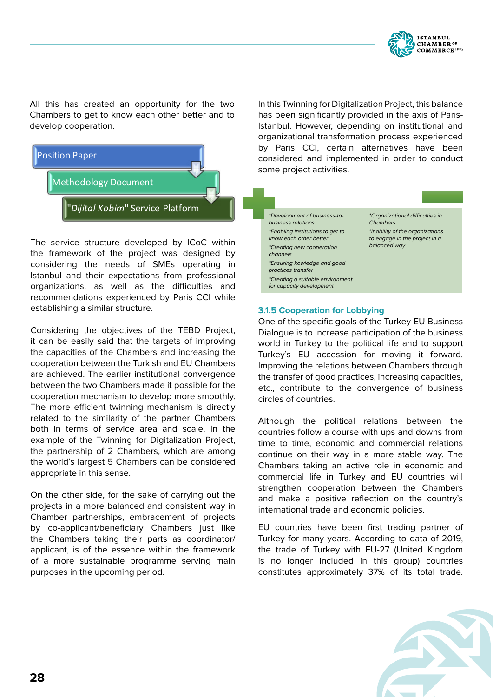

All this has created an opportunity for the two Chambers to get to know each other better and to develop cooperation.



The service structure developed by ICoC within the framework of the project was designed by considering the needs of SMEs operating in Istanbul and their expectations from professional organizations, as well as the difficulties and recommendations experienced by Paris CCI while establishing a similar structure.

Considering the objectives of the TEBD Project, it can be easily said that the targets of improving the capacities of the Chambers and increasing the cooperation between the Turkish and EU Chambers are achieved. The earlier institutional convergence between the two Chambers made it possible for the cooperation mechanism to develop more smoothly. The more efficient twinning mechanism is directly related to the similarity of the partner Chambers both in terms of service area and scale. In the example of the Twinning for Digitalization Project, the partnership of 2 Chambers, which are among the world's largest 5 Chambers can be considered appropriate in this sense.

On the other side, for the sake of carrying out the projects in a more balanced and consistent way in Chamber partnerships, embracement of projects by co-applicant/beneficiary Chambers just like the Chambers taking their parts as coordinator/ applicant, is of the essence within the framework of a more sustainable programme serving main purposes in the upcoming period.

In this Twinning for Digitalization Project, this balance has been significantly provided in the axis of Paris-Istanbul. However, depending on institutional and organizational transformation process experienced by Paris CCI, certain alternatives have been considered and implemented in order to conduct some project activities.

*\*Development of business-tobusiness relations \*Enabling institutions to get to know each other better \*Creating new cooperation channels \*Ensuring kowledge and good practices transfer \*Creating a suitable environment for capacity development*

*\*Organizational difficulties in Chambers \*Inability of the organizations to engage in the project in a balanced way*

## **3.1.5 Cooperation for Lobbying**

One of the specific goals of the Turkey-EU Business Dialogue is to increase participation of the business world in Turkey to the political life and to support Turkey's EU accession for moving it forward. Improving the relations between Chambers through the transfer of good practices, increasing capacities, etc., contribute to the convergence of business circles of countries.

Although the political relations between the countries follow a course with ups and downs from time to time, economic and commercial relations continue on their way in a more stable way. The Chambers taking an active role in economic and commercial life in Turkey and EU countries will strengthen cooperation between the Chambers and make a positive reflection on the country's international trade and economic policies.

EU countries have been first trading partner of Turkey for many years. According to data of 2019, the trade of Turkey with EU-27 (United Kingdom is no longer included in this group) countries constitutes approximately 37% of its total trade.

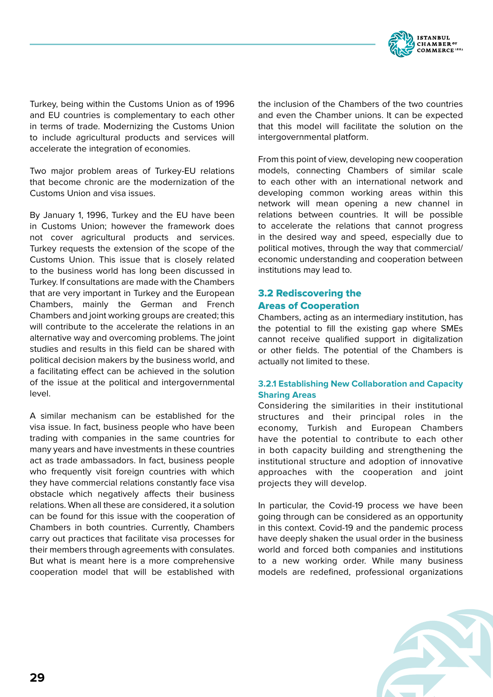

Turkey, being within the Customs Union as of 1996 and EU countries is complementary to each other in terms of trade. Modernizing the Customs Union to include agricultural products and services will accelerate the integration of economies.

Two major problem areas of Turkey-EU relations that become chronic are the modernization of the Customs Union and visa issues.

By January 1, 1996, Turkey and the EU have been in Customs Union; however the framework does not cover agricultural products and services. Turkey requests the extension of the scope of the Customs Union. This issue that is closely related to the business world has long been discussed in Turkey. If consultations are made with the Chambers that are very important in Turkey and the European Chambers, mainly the German and French Chambers and joint working groups are created; this will contribute to the accelerate the relations in an alternative way and overcoming problems. The joint studies and results in this field can be shared with political decision makers by the business world, and a facilitating effect can be achieved in the solution of the issue at the political and intergovernmental level.

A similar mechanism can be established for the visa issue. In fact, business people who have been trading with companies in the same countries for many years and have investments in these countries act as trade ambassadors. In fact, business people who frequently visit foreign countries with which they have commercial relations constantly face visa obstacle which negatively affects their business relations. When all these are considered, it a solution can be found for this issue with the cooperation of Chambers in both countries. Currently, Chambers carry out practices that facilitate visa processes for their members through agreements with consulates. But what is meant here is a more comprehensive cooperation model that will be established with the inclusion of the Chambers of the two countries and even the Chamber unions. It can be expected that this model will facilitate the solution on the intergovernmental platform.

From this point of view, developing new cooperation models, connecting Chambers of similar scale to each other with an international network and developing common working areas within this network will mean opening a new channel in relations between countries. It will be possible to accelerate the relations that cannot progress in the desired way and speed, especially due to political motives, through the way that commercial/ economic understanding and cooperation between institutions may lead to.

## 3.2 Rediscovering the Areas of Cooperation

Chambers, acting as an intermediary institution, has the potential to fill the existing gap where SMEs cannot receive qualified support in digitalization or other fields. The potential of the Chambers is actually not limited to these.

## **3.2.1 Establishing New Collaboration and Capacity Sharing Areas**

Considering the similarities in their institutional structures and their principal roles in the economy, Turkish and European Chambers have the potential to contribute to each other in both capacity building and strengthening the institutional structure and adoption of innovative approaches with the cooperation and joint projects they will develop.

In particular, the Covid-19 process we have been going through can be considered as an opportunity in this context. Covid-19 and the pandemic process have deeply shaken the usual order in the business world and forced both companies and institutions to a new working order. While many business models are redefined, professional organizations

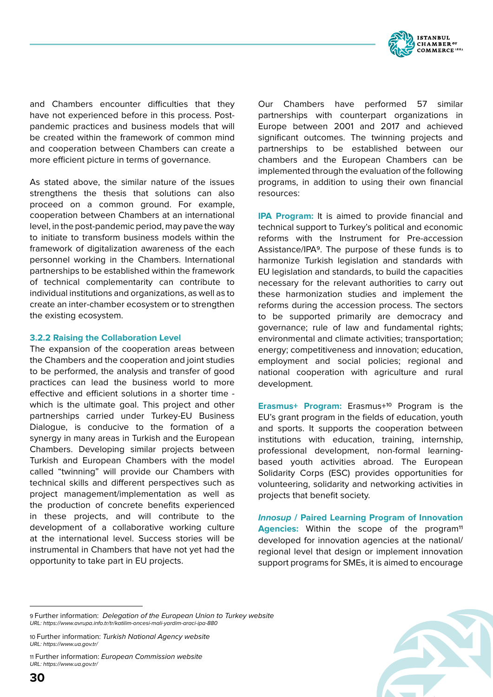

and Chambers encounter difficulties that they have not experienced before in this process. Postpandemic practices and business models that will be created within the framework of common mind and cooperation between Chambers can create a more efficient picture in terms of governance.

As stated above, the similar nature of the issues strengthens the thesis that solutions can also proceed on a common ground. For example, cooperation between Chambers at an international level, in the post-pandemic period, may pave the way to initiate to transform business models within the framework of digitalization awareness of the each personnel working in the Chambers. International partnerships to be established within the framework of technical complementarity can contribute to individual institutions and organizations, as well as to create an inter-chamber ecosystem or to strengthen the existing ecosystem.

#### **3.2.2 Raising the Collaboration Level**

The expansion of the cooperation areas between the Chambers and the cooperation and joint studies to be performed, the analysis and transfer of good practices can lead the business world to more effective and efficient solutions in a shorter time which is the ultimate goal. This project and other partnerships carried under Turkey-EU Business Dialogue, is conducive to the formation of a synergy in many areas in Turkish and the European Chambers. Developing similar projects between Turkish and European Chambers with the model called "twinning" will provide our Chambers with technical skills and different perspectives such as project management/implementation as well as the production of concrete benefits experienced in these projects, and will contribute to the development of a collaborative working culture at the international level. Success stories will be instrumental in Chambers that have not yet had the opportunity to take part in EU projects.

Our Chambers have performed 57 similar partnerships with counterpart organizations in Europe between 2001 and 2017 and achieved significant outcomes. The twinning projects and partnerships to be established between our chambers and the European Chambers can be implemented through the evaluation of the following programs, in addition to using their own financial resources:

**IPA Program:** It is aimed to provide financial and technical support to Turkey's political and economic reforms with the Instrument for Pre-accession Assistance/IPA9. The purpose of these funds is to harmonize Turkish legislation and standards with EU legislation and standards, to build the capacities necessary for the relevant authorities to carry out these harmonization studies and implement the reforms during the accession process. The sectors to be supported primarily are democracy and governance; rule of law and fundamental rights; environmental and climate activities; transportation; energy; competitiveness and innovation; education, employment and social policies; regional and national cooperation with agriculture and rural development.

**Erasmus+ Program:** Erasmus+10 Program is the EU's grant program in the fields of education, youth and sports. It supports the cooperation between institutions with education, training, internship, professional development, non-formal learningbased youth activities abroad. The European Solidarity Corps (ESC) provides opportunities for volunteering, solidarity and networking activities in projects that benefit society.

**Innosup / Paired Learning Program of Innovation**  Agencies: Within the scope of the program<sup>11</sup> developed for innovation agencies at the national/ regional level that design or implement innovation support programs for SMEs, it is aimed to encourage

11 Further information: *European Commission website URL: https://www.ua.gov.tr/*



<sup>9</sup> Further information: *Delegation of the European Union to Turkey website URL: https://www.avrupa.info.tr/tr/katilim-oncesi-mali-yardim-araci-ipa-880*

<sup>10</sup> Further information: *Turkish National Agency website URL: https://www.ua.gov.tr/*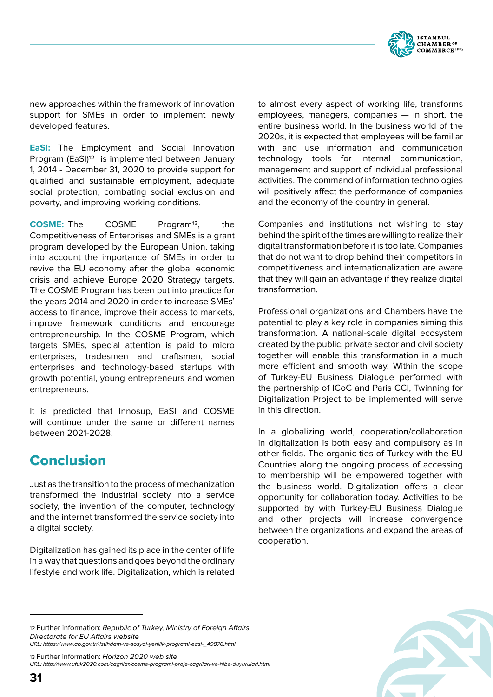

new approaches within the framework of innovation support for SMEs in order to implement newly developed features.

**EaSI:** The Employment and Social Innovation Program (EaSI)<sup>12</sup> is implemented between January 1, 2014 - December 31, 2020 to provide support for qualified and sustainable employment, adequate social protection, combating social exclusion and poverty, and improving working conditions.

**COSME:** The COSME Program<sup>13</sup>, the Competitiveness of Enterprises and SMEs is a grant program developed by the European Union, taking into account the importance of SMEs in order to revive the EU economy after the global economic crisis and achieve Europe 2020 Strategy targets. The COSME Program has been put into practice for the years 2014 and 2020 in order to increase SMEs' access to finance, improve their access to markets, improve framework conditions and encourage entrepreneurship. In the COSME Program, which targets SMEs, special attention is paid to micro enterprises, tradesmen and craftsmen, social enterprises and technology-based startups with growth potential, young entrepreneurs and women entrepreneurs.

It is predicted that Innosup, EaSI and COSME will continue under the same or different names between 2021-2028.

# Conclusion

Just as the transition to the process of mechanization transformed the industrial society into a service society, the invention of the computer, technology and the internet transformed the service society into a digital society.

Digitalization has gained its place in the center of life in a way that questions and goes beyond the ordinary lifestyle and work life. Digitalization, which is related to almost every aspect of working life, transforms employees, managers, companies — in short, the entire business world. In the business world of the 2020s, it is expected that employees will be familiar with and use information and communication technology tools for internal communication, management and support of individual professional activities. The command of information technologies will positively affect the performance of companies and the economy of the country in general.

Companies and institutions not wishing to stay behind the spirit of the times are willing to realize their digital transformation before it is too late. Companies that do not want to drop behind their competitors in competitiveness and internationalization are aware that they will gain an advantage if they realize digital transformation.

Professional organizations and Chambers have the potential to play a key role in companies aiming this transformation. A national-scale digital ecosystem created by the public, private sector and civil society together will enable this transformation in a much more efficient and smooth way. Within the scope of Turkey-EU Business Dialogue performed with the partnership of ICoC and Paris CCI, Twinning for Digitalization Project to be implemented will serve in this direction.

In a globalizing world, cooperation/collaboration in digitalization is both easy and compulsory as in other fields. The organic ties of Turkey with the EU Countries along the ongoing process of accessing to membership will be empowered together with the business world. Digitalization offers a clear opportunity for collaboration today. Activities to be supported by with Turkey-EU Business Dialogue and other projects will increase convergence between the organizations and expand the areas of cooperation.

13 Further information: *Horizon 2020 web site URL: http://www.ufuk2020.com/cagrilar/cosme-programi-proje-cagrilari-ve-hibe-duyurulari.html*



<sup>12</sup> Further information: *Republic of Turkey, Ministry of Foreign Affairs, Directorate for EU Affairs website*

*URL: https://www.ab.gov.tr/-istihdam-ve-sosyal-yenilik-programi-easi-\_49876.html*